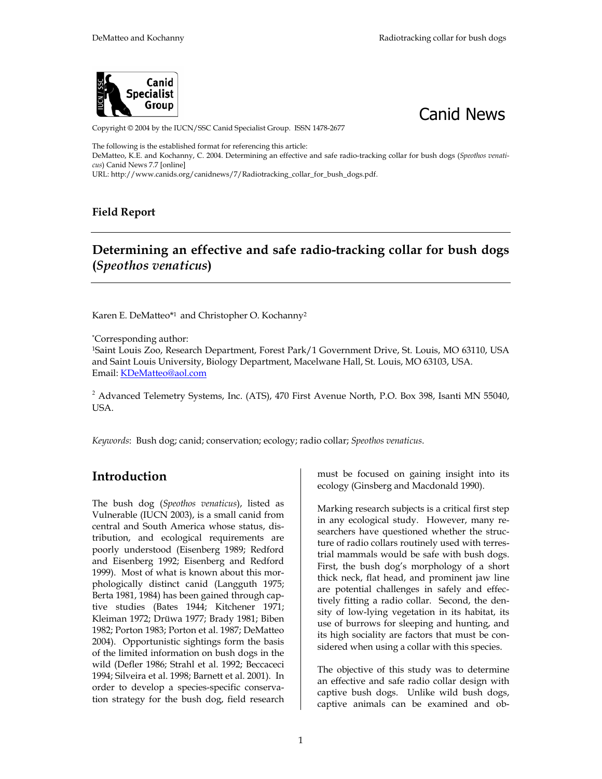



Copyright © 2004 by the IUCN/SSC Canid Specialist Group. ISSN 1478-2677

The following is the established format for referencing this article: DeMatteo, K.E. and Kochanny, C. 2004. Determining an effective and safe radio-tracking collar for bush dogs (*Speothos venaticus*) Canid News 7.7 [online]

URL: http://www.canids.org/canidnews/7/Radiotracking\_collar\_for\_bush\_dogs.pdf.

#### **Field Report**

#### **Determining an effective and safe radio-tracking collar for bush dogs (***Speothos venaticus***)**

Karen E. DeMatteo\*<sup>1</sup> and Christopher O. Kochanny<sup>2</sup>

\*Corresponding author:

1Saint Louis Zoo, Research Department, Forest Park/1 Government Drive, St. Louis, MO 63110, USA and Saint Louis University, Biology Department, Macelwane Hall, St. Louis, MO 63103, USA. Email: KDeMatteo@aol.com

 $2$  Advanced Telemetry Systems, Inc. (ATS), 470 First Avenue North, P.O. Box 398, Isanti MN 55040, USA.

*Keywords*: Bush dog; canid; conservation; ecology; radio collar; *Speothos venaticus*.

#### **Introduction**

The bush dog (*Speothos venaticus*), listed as Vulnerable (IUCN 2003), is a small canid from central and South America whose status, distribution, and ecological requirements are poorly understood (Eisenberg 1989; Redford and Eisenberg 1992; Eisenberg and Redford 1999). Most of what is known about this morphologically distinct canid (Langguth 1975; Berta 1981, 1984) has been gained through captive studies (Bates 1944; Kitchener 1971; Kleiman 1972; Drüwa 1977; Brady 1981; Biben 1982; Porton 1983; Porton et al. 1987; DeMatteo 2004). Opportunistic sightings form the basis of the limited information on bush dogs in the wild (Defler 1986; Strahl et al. 1992; Beccaceci 1994; Silveira et al. 1998; Barnett et al. 2001). In order to develop a species-specific conservation strategy for the bush dog, field research must be focused on gaining insight into its ecology (Ginsberg and Macdonald 1990).

Marking research subjects is a critical first step in any ecological study. However, many researchers have questioned whether the structure of radio collars routinely used with terrestrial mammals would be safe with bush dogs. First, the bush dog's morphology of a short thick neck, flat head, and prominent jaw line are potential challenges in safely and effectively fitting a radio collar. Second, the density of low-lying vegetation in its habitat, its use of burrows for sleeping and hunting, and its high sociality are factors that must be considered when using a collar with this species.

The objective of this study was to determine an effective and safe radio collar design with captive bush dogs. Unlike wild bush dogs, captive animals can be examined and ob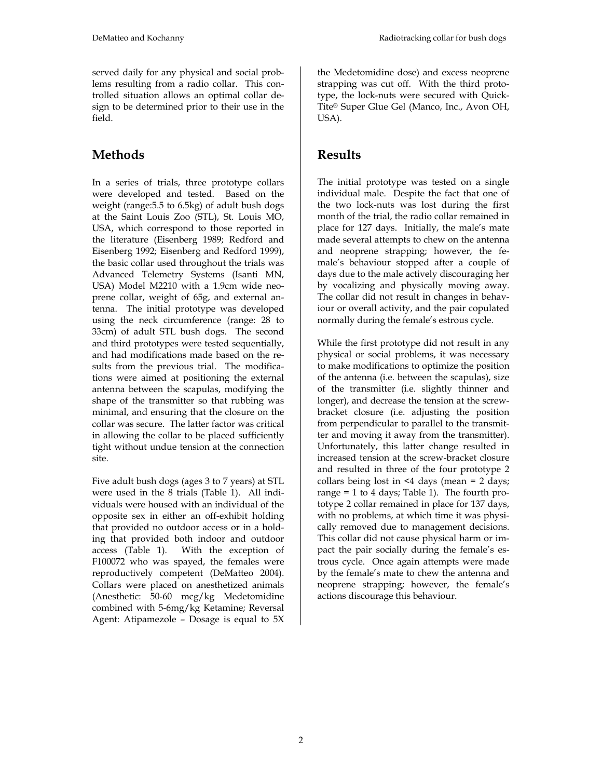served daily for any physical and social problems resulting from a radio collar. This controlled situation allows an optimal collar design to be determined prior to their use in the field.

# **Methods**

In a series of trials, three prototype collars were developed and tested. Based on the weight (range:5.5 to 6.5kg) of adult bush dogs at the Saint Louis Zoo (STL), St. Louis MO, USA, which correspond to those reported in the literature (Eisenberg 1989; Redford and Eisenberg 1992; Eisenberg and Redford 1999), the basic collar used throughout the trials was Advanced Telemetry Systems (Isanti MN, USA) Model M2210 with a 1.9cm wide neoprene collar, weight of 65g, and external antenna. The initial prototype was developed using the neck circumference (range: 28 to 33cm) of adult STL bush dogs. The second and third prototypes were tested sequentially, and had modifications made based on the results from the previous trial. The modifications were aimed at positioning the external antenna between the scapulas, modifying the shape of the transmitter so that rubbing was minimal, and ensuring that the closure on the collar was secure. The latter factor was critical in allowing the collar to be placed sufficiently tight without undue tension at the connection site.

Five adult bush dogs (ages 3 to 7 years) at STL were used in the 8 trials (Table 1). All individuals were housed with an individual of the opposite sex in either an off-exhibit holding that provided no outdoor access or in a holding that provided both indoor and outdoor access (Table 1). With the exception of F100072 who was spayed, the females were reproductively competent (DeMatteo 2004). Collars were placed on anesthetized animals (Anesthetic: 50-60 mcg/kg Medetomidine combined with 5-6mg/kg Ketamine; Reversal Agent: Atipamezole – Dosage is equal to 5X

the Medetomidine dose) and excess neoprene strapping was cut off. With the third prototype, the lock-nuts were secured with Quick-Tite® Super Glue Gel (Manco, Inc., Avon OH, USA).

### **Results**

The initial prototype was tested on a single individual male. Despite the fact that one of the two lock-nuts was lost during the first month of the trial, the radio collar remained in place for 127 days. Initially, the male's mate made several attempts to chew on the antenna and neoprene strapping; however, the female's behaviour stopped after a couple of days due to the male actively discouraging her by vocalizing and physically moving away. The collar did not result in changes in behaviour or overall activity, and the pair copulated normally during the female's estrous cycle.

While the first prototype did not result in any physical or social problems, it was necessary to make modifications to optimize the position of the antenna (i.e. between the scapulas), size of the transmitter (i.e. slightly thinner and longer), and decrease the tension at the screwbracket closure (i.e. adjusting the position from perpendicular to parallel to the transmitter and moving it away from the transmitter). Unfortunately, this latter change resulted in increased tension at the screw-bracket closure and resulted in three of the four prototype 2 collars being lost in <4 days (mean = 2 days; range = 1 to 4 days; Table 1). The fourth prototype 2 collar remained in place for 137 days, with no problems, at which time it was physically removed due to management decisions. This collar did not cause physical harm or impact the pair socially during the female's estrous cycle. Once again attempts were made by the female's mate to chew the antenna and neoprene strapping; however, the female's actions discourage this behaviour.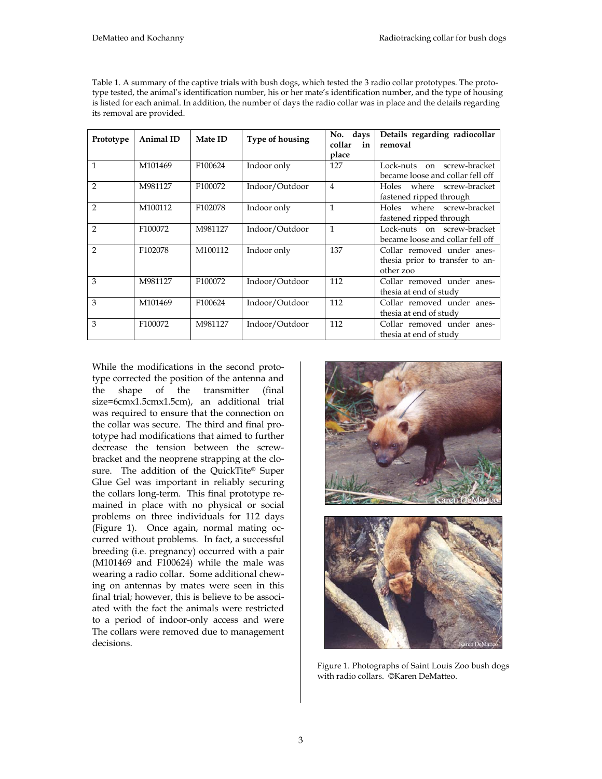| Table 1. A summary of the captive trials with bush dogs, which tested the 3 radio collar prototypes. The proto-    |  |
|--------------------------------------------------------------------------------------------------------------------|--|
| type tested, the animal's identification number, his or her mate's identification number, and the type of housing  |  |
| is listed for each animal. In addition, the number of days the radio collar was in place and the details regarding |  |
| its removal are provided.                                                                                          |  |

| Prototype     | Animal ID | <b>Mate ID</b>      | <b>Type of housing</b> | No. days<br>collar<br>in | Details regarding radiocollar<br>removal |
|---------------|-----------|---------------------|------------------------|--------------------------|------------------------------------------|
|               |           |                     |                        | place                    |                                          |
| $\mathbf{1}$  | M101469   | F <sub>100624</sub> | Indoor only            | 127                      | Lock-nuts on screw-bracket               |
|               |           |                     |                        |                          | became loose and collar fell off         |
| $\mathcal{P}$ | M981127   | F <sub>100072</sub> | Indoor/Outdoor         | 4                        | Holes where screw-bracket                |
|               |           |                     |                        |                          | fastened ripped through                  |
| $\mathcal{P}$ | M100112   | F <sub>102078</sub> | Indoor only            | $\mathbf{1}$             | Holes where screw-bracket                |
|               |           |                     |                        |                          | fastened ripped through                  |
| $\mathcal{P}$ | F100072   | M981127             | Indoor/Outdoor         | $\mathbf{1}$             | Lock-nuts on screw-bracket               |
|               |           |                     |                        |                          | became loose and collar fell off         |
| $\mathcal{P}$ | F102078   | M100112             | Indoor only            | 137                      | Collar removed under anes-               |
|               |           |                     |                        |                          | thesia prior to transfer to an-          |
|               |           |                     |                        |                          | other zoo                                |
| 3             | M981127   | F100072             | Indoor/Outdoor         | 112                      | Collar removed under anes-               |
|               |           |                     |                        |                          | thesia at end of study                   |
| 3             | M101469   | F100624             | Indoor/Outdoor         | 112                      | Collar removed under anes-               |
|               |           |                     |                        |                          | thesia at end of study                   |
| 3             | F100072   | M981127             | Indoor/Outdoor         | 112                      | Collar removed under anes-               |
|               |           |                     |                        |                          | thesia at end of study                   |

While the modifications in the second prototype corrected the position of the antenna and the shape of the transmitter (final size=6cmx1.5cmx1.5cm), an additional trial was required to ensure that the connection on the collar was secure. The third and final prototype had modifications that aimed to further decrease the tension between the screwbracket and the neoprene strapping at the closure. The addition of the QuickTite® Super Glue Gel was important in reliably securing the collars long-term. This final prototype remained in place with no physical or social problems on three individuals for 112 days (Figure 1). Once again, normal mating occurred without problems. In fact, a successful breeding (i.e. pregnancy) occurred with a pair (M101469 and F100624) while the male was wearing a radio collar. Some additional chewing on antennas by mates were seen in this final trial; however, this is believe to be associated with the fact the animals were restricted to a period of indoor-only access and were The collars were removed due to management decisions.





Figure 1. Photographs of Saint Louis Zoo bush dogs with radio collars. ©Karen DeMatteo.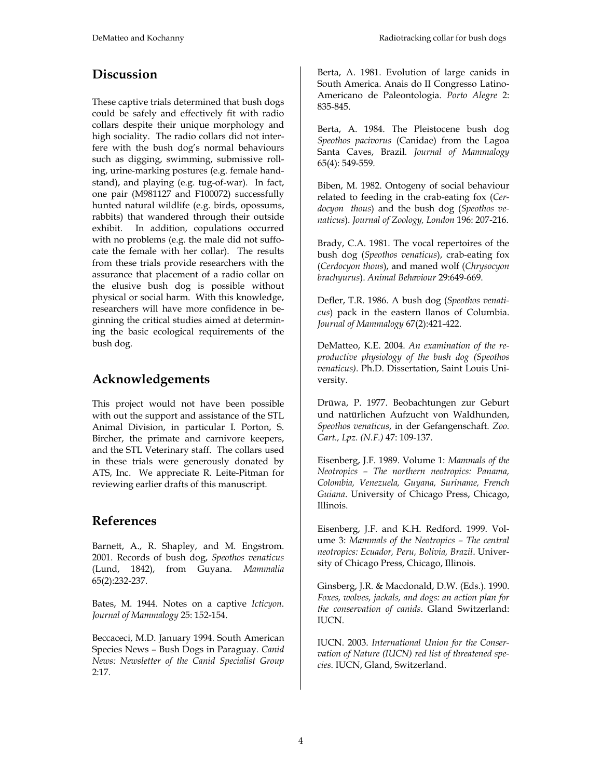## **Discussion**

These captive trials determined that bush dogs could be safely and effectively fit with radio collars despite their unique morphology and high sociality. The radio collars did not interfere with the bush dog's normal behaviours such as digging, swimming, submissive rolling, urine-marking postures (e.g. female handstand), and playing (e.g. tug-of-war). In fact, one pair (M981127 and F100072) successfully hunted natural wildlife (e.g. birds, opossums, rabbits) that wandered through their outside exhibit. In addition, copulations occurred with no problems (e.g. the male did not suffocate the female with her collar). The results from these trials provide researchers with the assurance that placement of a radio collar on the elusive bush dog is possible without physical or social harm. With this knowledge, researchers will have more confidence in beginning the critical studies aimed at determining the basic ecological requirements of the bush dog.

## **Acknowledgements**

This project would not have been possible with out the support and assistance of the STL Animal Division, in particular I. Porton, S. Bircher, the primate and carnivore keepers, and the STL Veterinary staff. The collars used in these trials were generously donated by ATS, Inc. We appreciate R. Leite-Pitman for reviewing earlier drafts of this manuscript.

#### **References**

Barnett, A., R. Shapley, and M. Engstrom. 2001. Records of bush dog, *Speothos venaticus* (Lund, 1842), from Guyana. *Mammalia* 65(2):232-237.

Bates, M. 1944. Notes on a captive *Icticyon*. *Journal of Mammalogy* 25: 152-154.

Beccaceci, M.D. January 1994. South American Species News – Bush Dogs in Paraguay. *Canid News: Newsletter of the Canid Specialist Group* 2:17*.* 

Berta, A. 1981. Evolution of large canids in South America. Anais do II Congresso Latino-Americano de Paleontologia. *Porto Alegre* 2: 835-845.

Berta, A. 1984. The Pleistocene bush dog *Speothos pacivorus* (Canidae) from the Lagoa Santa Caves, Brazil*. Journal of Mammalogy*  65(4): 549-559.

Biben, M. 1982. Ontogeny of social behaviour related to feeding in the crab-eating fox (*Cerdocyon thous*) and the bush dog (*Speothos venaticus*). *Journal of Zoology, London* 196: 207-216.

Brady, C.A. 1981. The vocal repertoires of the bush dog (*Speothos venaticus*), crab-eating fox (*Cerdocyon thous*), and maned wolf (*Chrysocyon brachyurus*). *Animal Behaviour* 29:649-669.

Defler, T.R. 1986. A bush dog (*Speothos venaticus*) pack in the eastern llanos of Columbia. *Journal of Mammalogy* 67(2):421-422.

DeMatteo, K.E. 2004. *An examination of the reproductive physiology of the bush dog (Speothos venaticus)*. Ph.D. Dissertation, Saint Louis University.

Drüwa, P. 1977. Beobachtungen zur Geburt und natürlichen Aufzucht von Waldhunden, *Speothos venaticus*, in der Gefangenschaft. *Zoo. Gart., Lpz. (N.F.)* 47: 109-137.

Eisenberg, J.F. 1989. Volume 1: *Mammals of the Neotropics – The northern neotropics: Panama, Colombia, Venezuela, Guyana, Suriname, French Guiana*. University of Chicago Press, Chicago, Illinois.

Eisenberg, J.F. and K.H. Redford. 1999. Volume 3: *Mammals of the Neotropics – The central neotropics: Ecuador, Peru, Bolivia, Brazil*. University of Chicago Press, Chicago, Illinois.

Ginsberg, J.R. & Macdonald, D.W. (Eds.). 1990. *Foxes, wolves, jackals, and dogs: an action plan for the conservation of canids*. Gland Switzerland: IUCN.

IUCN. 2003. *International Union for the Conservation of Nature (IUCN) red list of threatened species*. IUCN, Gland, Switzerland.